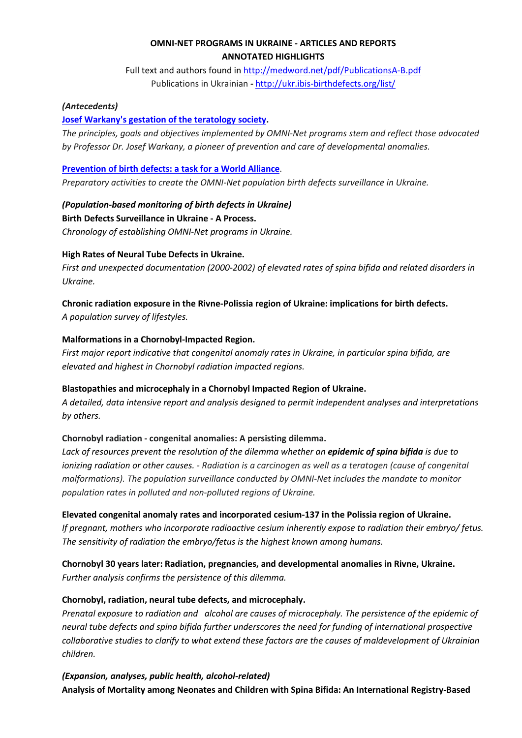# **OMNI-NET PROGRAMS IN UKRAINE - ARTICLES AND REPORTS ANNOTATED HIGHLIGHTS**

Full text and authors found in<http://medword.net/pdf/PublicationsA-B.pdf> Publications in Ukrainian *-* <http://ukr.ibis-birthdefects.org/list/>

## *(Antecedents)*

### **[Josef Warkany's gestation of the teratology society.](http://medword.net/pdf/WwWarkany2020.pdf)**

*The principles, goals and objectives implemented by OMNI-Net programs stem and reflect those advocated by Professor Dr. Josef Warkany, a pioneer of prevention and care of developmental anomalies.*

### **[Prevention of birth defects: a task for a World Alliance](http://medword.net/pdf/WAlliance1995eng.pdf)**.

*Preparatory activities to create the OMNI-Net population birth defects surveillance in Ukraine.*

# *(Population-based monitoring of birth defects in Ukraine)*

#### **Birth Defects Surveillance in Ukraine - A Process.**

*Chronology of establishing OMNI-Net programs in Ukraine.*

## **High Rates of Neural Tube Defects in Ukraine.**

*First and unexpected documentation (2000-2002) of elevated rates of spina bifida and related disorders in Ukraine.*

## **Chronic radiation exposure in the Rivne-Polissia region of Ukraine: implications for birth defects.**

*A population survey of lifestyles.*

## **Malformations in a Chornobyl-Impacted Region.**

*First major report indicative that congenital anomaly rates in Ukraine, in particular spina bifida, are elevated and highest in Chornobyl radiation impacted regions.*

#### **Blastopathies and microcephaly in a Chornobyl Impacted Region of Ukraine.**

*A detailed, data intensive report and analysis designed to permit independent analyses and interpretations by others.*

## **Chornobyl radiation - congenital anomalies: A persisting dilemma.**

*Lack of resources prevent the resolution of the dilemma whether an epidemic of spina bifida is due to ionizing radiation or other causes. - Radiation is a carcinogen as well as a teratogen (cause of congenital malformations). The population surveillance conducted by OMNI-Net includes the mandate to monitor population rates in polluted and non-polluted regions of Ukraine.*

#### **Elevated congenital anomaly rates and incorporated cesium-137 in the Polissia region of Ukraine.**

*If pregnant, mothers who incorporate radioactive cesium inherently expose to radiation their embryo/ fetus. The sensitivity of radiation the embryo/fetus is the highest known among humans.*

## **Chornobyl 30 years later: Radiation, pregnancies, and developmental anomalies in Rivne, Ukraine.**

*Further analysis confirms the persistence of this dilemma.*

## **Chornobyl, radiation, neural tube defects, and microcephaly.**

*Prenatal exposure to radiation and alcohol are causes of microcephaly. The persistence of the epidemic of neural tube defects and spina bifida further underscores the need for funding of international prospective collaborative studies to clarify to what extend these factors are the causes of maldevelopment of Ukrainian children.*

*(Expansion, analyses, public health, alcohol-related)* **Analysis of Mortality among Neonates and Children with Spina Bifida: An International Registry-Based**